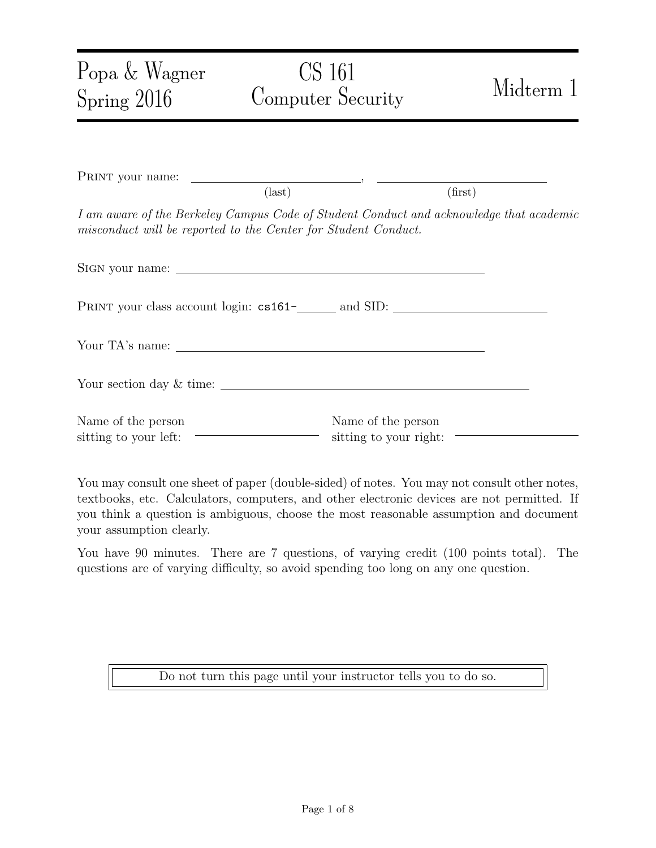| Popa & Wagner<br>Spring 2016                | CS 161<br>Computer Security                                                                                                                               | Midterm 1 |
|---------------------------------------------|-----------------------------------------------------------------------------------------------------------------------------------------------------------|-----------|
|                                             |                                                                                                                                                           |           |
|                                             | $\text{(last)}$                                                                                                                                           | (first)   |
|                                             | I am aware of the Berkeley Campus Code of Student Conduct and acknowledge that academic<br>misconduct will be reported to the Center for Student Conduct. |           |
|                                             |                                                                                                                                                           |           |
|                                             |                                                                                                                                                           |           |
|                                             |                                                                                                                                                           |           |
|                                             |                                                                                                                                                           |           |
| Name of the person<br>sitting to your left: | Name of the person<br>sitting to your right: $\equiv$                                                                                                     |           |

You may consult one sheet of paper (double-sided) of notes. You may not consult other notes, textbooks, etc. Calculators, computers, and other electronic devices are not permitted. If you think a question is ambiguous, choose the most reasonable assumption and document your assumption clearly.

You have 90 minutes. There are 7 questions, of varying credit (100 points total). The questions are of varying difficulty, so avoid spending too long on any one question.

Do not turn this page until your instructor tells you to do so.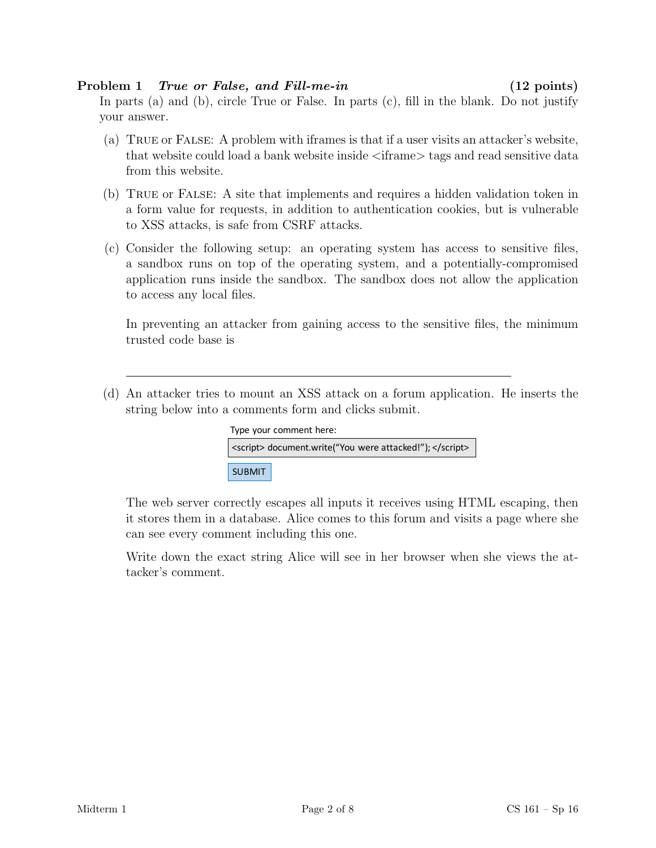### Problem 1 True or False, and Fill-me-in (12 points)

In parts (a) and (b), circle True or False. In parts  $(c)$ , fill in the blank. Do not justify your answer.

- (a) True or False: A problem with iframes is that if a user visits an attacker's website, that website could load a bank website inside <iframe> tags and read sensitive data from this website.
- (b) True or False: A site that implements and requires a hidden validation token in a form value for requests, in addition to authentication cookies, but is vulnerable to XSS attacks, is safe from CSRF attacks.
- (c) Consider the following setup: an operating system has access to sensitive files, a sandbox runs on top of the operating system, and a potentially-compromised application runs inside the sandbox. The sandbox does not allow the application to access any local files.

In preventing an attacker from gaining access to the sensitive files, the minimum trusted code base is

(d) An attacker tries to mount an XSS attack on a forum application. He inserts the string below into a comments form and clicks submit.

|                                                          | Type your comment here: |
|----------------------------------------------------------|-------------------------|
| <script> document.write("You were attacked!"); </script> |                         |
| <b>SUBMIT</b>                                            |                         |

can see every comment including this one. it stores them in a database. Alice comes to this forum and visits a page where she The web server correctly escapes all inputs it receives using HTML escaping, then

Write down the exact string Alice will see in her browser when she views the attacker's comment.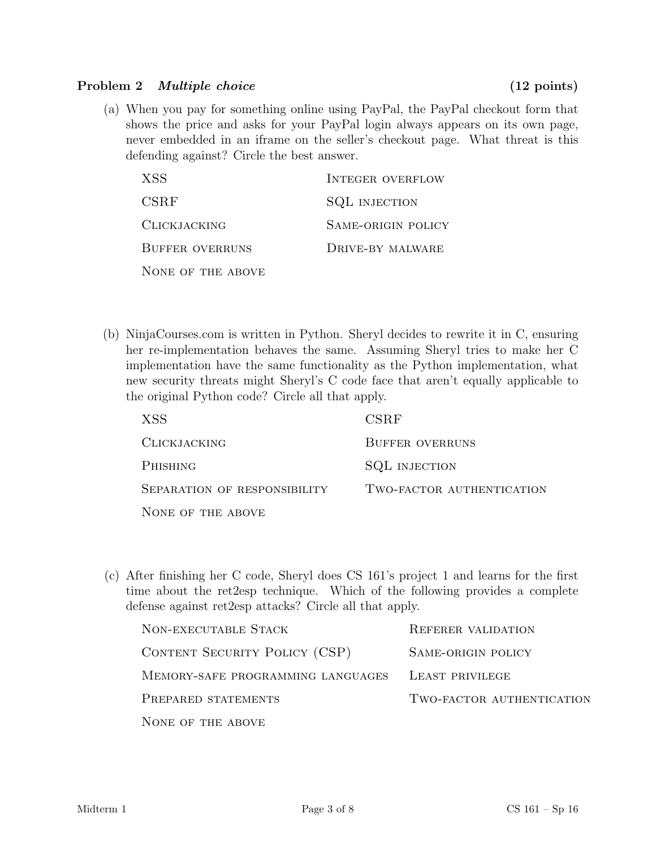### Problem 2 *Multiple choice* (12 points)

(a) When you pay for something online using PayPal, the PayPal checkout form that shows the price and asks for your PayPal login always appears on its own page, never embedded in an iframe on the seller's checkout page. What threat is this defending against? Circle the best answer.

| XSS                    | <b>INTEGER OVERFLOW</b> |
|------------------------|-------------------------|
| <b>CSRF</b>            | <b>SQL INJECTION</b>    |
| <b>CLICKJACKING</b>    | SAME-ORIGIN POLICY      |
| <b>BUFFER OVERRUNS</b> | DRIVE-BY MALWARE        |
| NONE OF THE ABOVE      |                         |

(b) NinjaCourses.com is written in Python. Sheryl decides to rewrite it in C, ensuring her re-implementation behaves the same. Assuming Sheryl tries to make her C implementation have the same functionality as the Python implementation, what new security threats might Sheryl's C code face that aren't equally applicable to the original Python code? Circle all that apply.

| XSS <sup>.</sup>             | <b>CSRF</b>               |
|------------------------------|---------------------------|
| <b>CLICKJACKING</b>          | <b>BUFFER OVERRUNS</b>    |
| <b>PHISHING</b>              | <b>SQL INJECTION</b>      |
| SEPARATION OF RESPONSIBILITY | TWO-FACTOR AUTHENTICATION |
| NONE OF THE ABOVE            |                           |

(c) After finishing her C code, Sheryl does CS 161's project 1 and learns for the first time about the ret2esp technique. Which of the following provides a complete defense against ret2esp attacks? Circle all that apply.

| NON-EXECUTABLE STACK              | <b>REFERER VALIDATION</b> |
|-----------------------------------|---------------------------|
| CONTENT SECURITY POLICY (CSP)     | SAME-ORIGIN POLICY        |
| MEMORY-SAFE PROGRAMMING LANGUAGES | LEAST PRIVILEGE           |
| PREPARED STATEMENTS               | TWO-FACTOR AUTHENTICATION |
| NONE OF THE ABOVE                 |                           |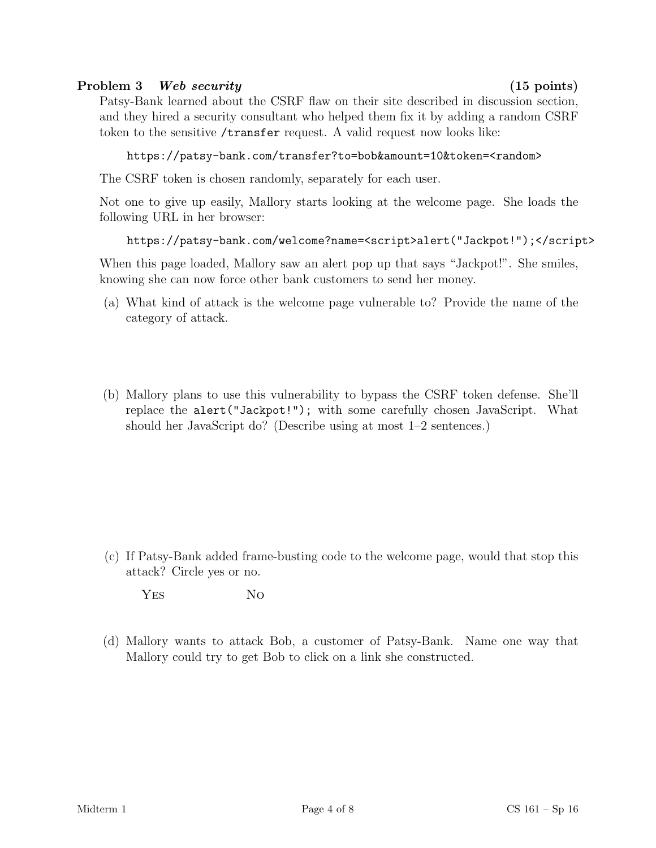## Problem 3 Web security (15 points)

Patsy-Bank learned about the CSRF flaw on their site described in discussion section, and they hired a security consultant who helped them fix it by adding a random CSRF token to the sensitive /transfer request. A valid request now looks like:

```
https://patsy-bank.com/transfer?to=bob&amount=10&token=<random>
```
The CSRF token is chosen randomly, separately for each user.

Not one to give up easily, Mallory starts looking at the welcome page. She loads the following URL in her browser:

```
https://patsy-bank.com/welcome?name=<script>alert("Jackpot!");</script>
```
When this page loaded, Mallory saw an alert pop up that says "Jackpot!". She smiles, knowing she can now force other bank customers to send her money.

- (a) What kind of attack is the welcome page vulnerable to? Provide the name of the category of attack.
- (b) Mallory plans to use this vulnerability to bypass the CSRF token defense. She'll replace the alert("Jackpot!"); with some carefully chosen JavaScript. What should her JavaScript do? (Describe using at most 1–2 sentences.)

- (c) If Patsy-Bank added frame-busting code to the welcome page, would that stop this attack? Circle yes or no.
	- YES NO
- (d) Mallory wants to attack Bob, a customer of Patsy-Bank. Name one way that Mallory could try to get Bob to click on a link she constructed.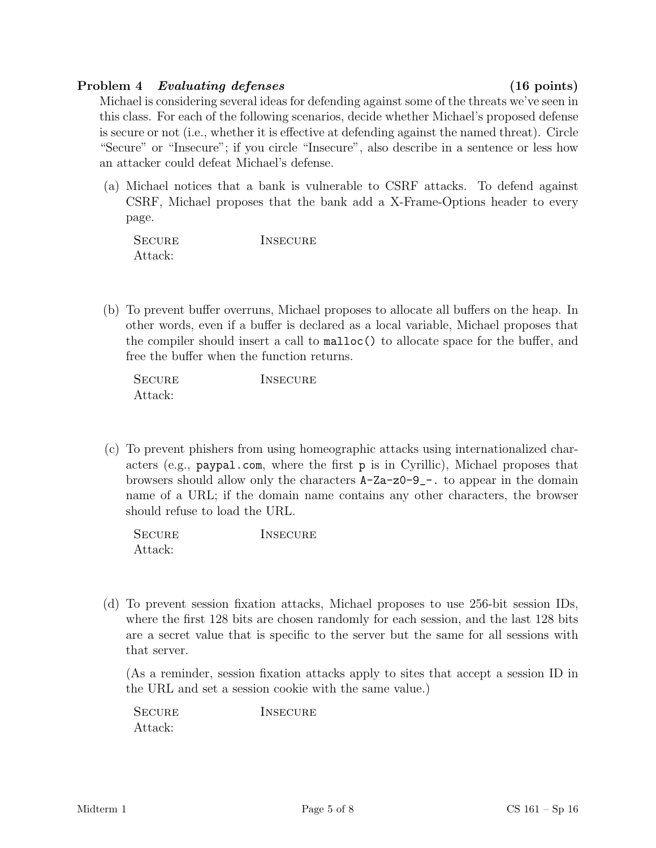## Problem 4 Evaluating defenses (16 points)

Michael is considering several ideas for defending against some of the threats we've seen in this class. For each of the following scenarios, decide whether Michael's proposed defense is secure or not (i.e., whether it is effective at defending against the named threat). Circle "Secure" or "Insecure"; if you circle "Insecure", also describe in a sentence or less how an attacker could defeat Michael's defense.

(a) Michael notices that a bank is vulnerable to CSRF attacks. To defend against CSRF, Michael proposes that the bank add a X-Frame-Options header to every page.

| <b>SECURE</b> | <b>INSECURE</b> |
|---------------|-----------------|
| Attack:       |                 |

(b) To prevent buffer overruns, Michael proposes to allocate all buffers on the heap. In other words, even if a buffer is declared as a local variable, Michael proposes that the compiler should insert a call to malloc() to allocate space for the buffer, and free the buffer when the function returns.

| <b>SECURE</b> | <b>INSECURE</b> |
|---------------|-----------------|
| Attack:       |                 |

(c) To prevent phishers from using homeographic attacks using internationalized characters (e.g., paypal.com, where the first p is in Cyrillic), Michael proposes that browsers should allow only the characters A-Za-z0-9\_-. to appear in the domain name of a URL; if the domain name contains any other characters, the browser should refuse to load the URL.

| <b>SECURE</b> | INSECURE |
|---------------|----------|
| Attack:       |          |

(d) To prevent session fixation attacks, Michael proposes to use 256-bit session IDs, where the first 128 bits are chosen randomly for each session, and the last 128 bits are a secret value that is specific to the server but the same for all sessions with that server.

(As a reminder, session fixation attacks apply to sites that accept a session ID in the URL and set a session cookie with the same value.)

SECURE INSECURE Attack: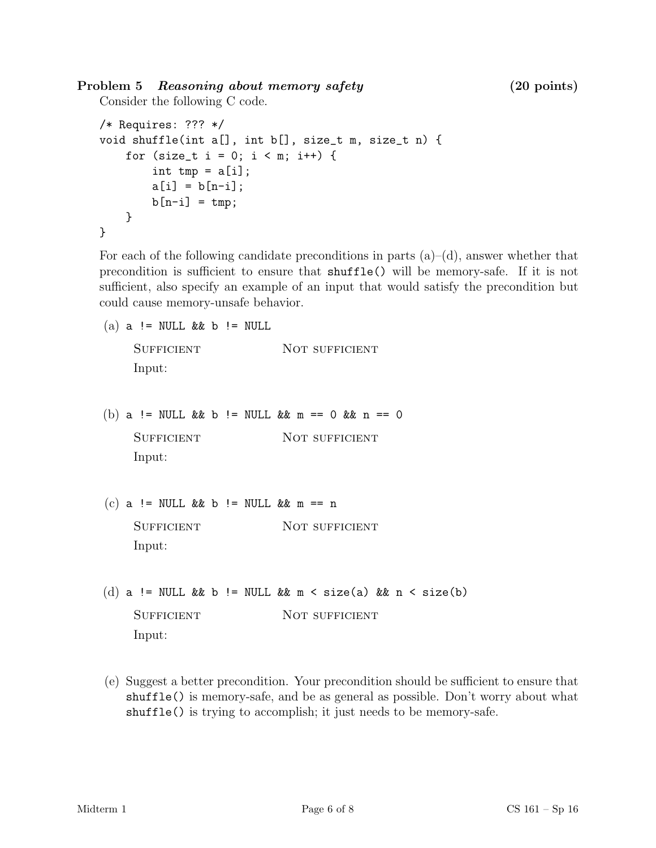# Problem 5 Reasoning about memory safety (20 points)

Consider the following C code.

```
/* Requires: ??? */
void shuffle(int a[], int b[], size_t m, size_t n) {
    for (size_t i = 0; i < m; i++) {
        int tmp = a[i];a[i] = b[n-i];b[n-i] = tmp;}
}
```
For each of the following candidate preconditions in parts  $(a)$ – $(d)$ , answer whether that precondition is sufficient to ensure that shuffle() will be memory-safe. If it is not sufficient, also specify an example of an input that would satisfy the precondition but could cause memory-unsafe behavior.

```
(a) a != NULL & & b != NULL
```
SUFFICIENT NOT SUFFICIENT Input:

- (b) a != NULL && b != NULL && m == 0 && n == 0 SUFFICIENT NOT SUFFICIENT Input:
- (c) a != NULL && b != NULL && m == n SUFFICIENT NOT SUFFICIENT Input:
- (d) a != NULL && b != NULL && m < size(a) && n < size(b) SUFFICIENT NOT SUFFICIENT Input:
- (e) Suggest a better precondition. Your precondition should be sufficient to ensure that shuffle() is memory-safe, and be as general as possible. Don't worry about what shuffle() is trying to accomplish; it just needs to be memory-safe.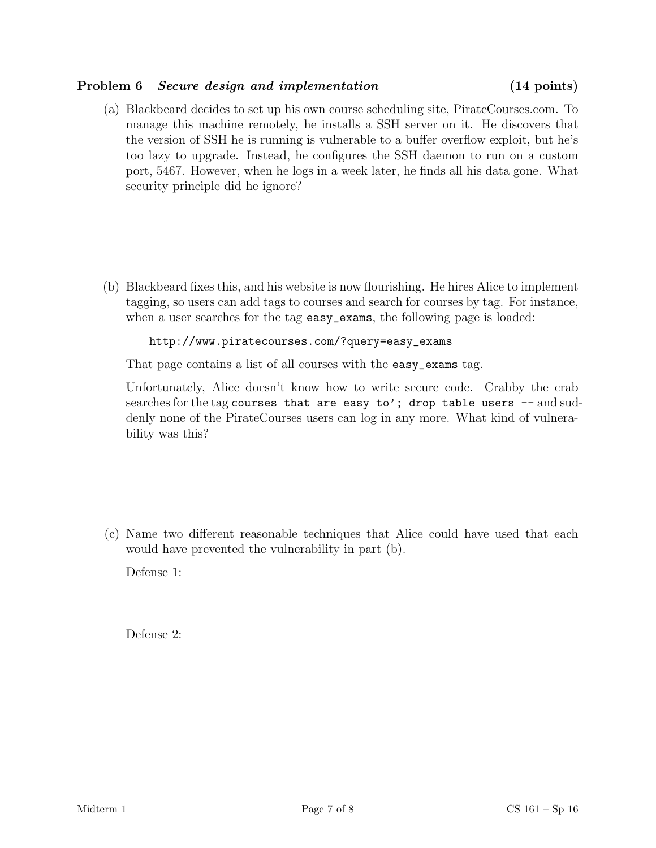### Problem 6 Secure design and implementation (14 points)

(a) Blackbeard decides to set up his own course scheduling site, PirateCourses.com. To manage this machine remotely, he installs a SSH server on it. He discovers that the version of SSH he is running is vulnerable to a buffer overflow exploit, but he's too lazy to upgrade. Instead, he configures the SSH daemon to run on a custom port, 5467. However, when he logs in a week later, he finds all his data gone. What security principle did he ignore?

(b) Blackbeard fixes this, and his website is now flourishing. He hires Alice to implement tagging, so users can add tags to courses and search for courses by tag. For instance, when a user searches for the tag easy\_exams, the following page is loaded:

```
http://www.piratecourses.com/?query=easy_exams
```
That page contains a list of all courses with the easy\_exams tag.

Unfortunately, Alice doesn't know how to write secure code. Crabby the crab searches for the tag courses that are easy to'; drop table users  $-$  and suddenly none of the PirateCourses users can log in any more. What kind of vulnerability was this?

(c) Name two different reasonable techniques that Alice could have used that each would have prevented the vulnerability in part (b).

Defense 1:

Defense 2: